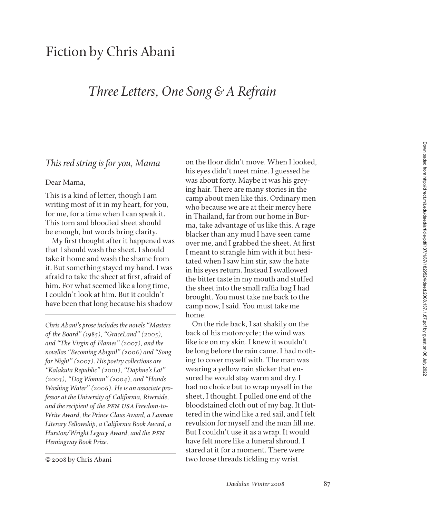# Fiction by Chris Abani

## *Three Letters, One Song & A Refrain*

## *This red string is for you, Mama*

Dear Mama,

This is a kind of letter, though I am writing most of it in my heart, for you, for me, for a time when I can speak it. This torn and bloodied sheet should be enough, but words bring clarity.

My first thought after it happened was that I should wash the sheet. I should take it home and wash the shame from it. But something stayed my hand. I was afraid to take the sheet at first, afraid of him. For what seemed like a long time, I couldn't look at him. But it couldn't have been that long because his shadow

*Chris Abani's prose includes the novels "Masters of the Board" (1985), "GraceLand" (2005), and "The Virgin of Flames" (2007), and the novellas "Becoming Abigail" (2006) and "Song for Night" (2007). His poetry collections are "Kalakuta Republic" (2001), "Daphne's Lot" (2003), "Dog Woman" (2004), and "Hands Washing Water" (2006). He is an associate professor at the University of California, Riverside, and the recipient of the* pen usa *Freedom-to-Write Award, the Prince Claus Award, a Lannan Literary Fellowship, a California Book Award, a* **Hurston/Wright Legacy Award, and the PEN** *Hemingway Book Prize.*

© 2008 by Chris Abani

on the floor didn't move. When I looked, his eyes didn't meet mine. I guessed he was about forty. Maybe it was his greying hair. There are many stories in the camp about men like this. Ordinary men who because we are at their mercy here in Thailand, far from our home in Burma, take advantage of us like this. A rage blacker than any mud I have seen came over me, and I grabbed the sheet. At first I meant to strangle him with it but hesitated when I saw him stir, saw the hate in his eyes return. Instead I swallowed the bitter taste in my mouth and stuffed the sheet into the small raffia bag I had brought. You must take me back to the camp now, I said. You must take me home.

On the ride back, I sat shakily on the back of his motorcycle; the wind was like ice on my skin. I knew it wouldn't be long before the rain came. I had nothing to cover myself with. The man was wearing a yellow rain slicker that ensured he would stay warm and dry. I had no choice but to wrap myself in the sheet, I thought. I pulled one end of the bloodstained cloth out of my bag. It fluttered in the wind like a red sail, and I felt revulsion for myself and the man fill me. But I couldn't use it as a wrap. It would have felt more like a funeral shroud. I stared at it for a moment. There were two loose threads tickling my wrist.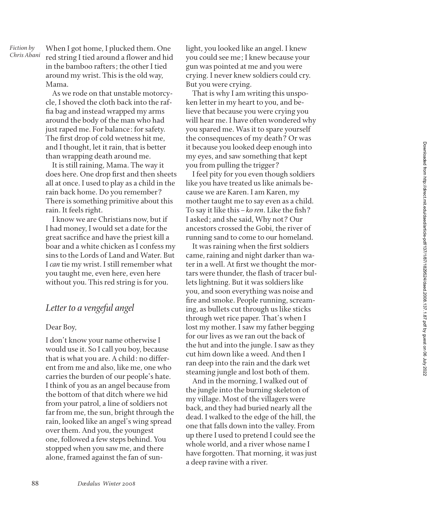Downloaded from http://direct.mit.edu/daed/article-pdf/137/11829524/daed.2008.137.1.87.pdf by guest on 06 July 2022 Downloaded from http://direct.mit.edu/daed/article-pdf/137/1/87/1829524/daed.2008.137.1.87.pdf by guest on 06 July 2022

*Fiction by* 

When I got home, I plucked them. One red string I tied around a flower and hid in the bamboo rafters; the other I tied around my wrist. This is the old way, Mama.

As we rode on that unstable motorcycle, I shoved the cloth back into the raf fia bag and instead wrapped my arms around the body of the man who had just raped me. For balance: for safety. The first drop of cold wetness hit me, and I thought, let it rain, that is better than wrapping death around me.

It is still raining, Mama. The way it does here. One drop first and then sheets all at once. I used to play as a child in the rain back home. Do you remember? There is something primitive about this rain. It feels right.

I know we are Christians now, but if I had money, I would set a date for the great sacrifice and have the priest kill a boar and a white chicken as I confess my sins to the Lords of Land and Water. But I *can* tie my wrist. I still remember what you taught me, even here, even here without you. This red string is for you.

#### *Letter to a vengeful angel*

#### Dear Boy,

I don't know your name otherwise I would use it. So I call you boy, because that is what you are. A child: no different from me and also, like me, one who carries the burden of our people's hate. I think of you as an angel because from the bottom of that ditch where we hid from your patrol, a line of soldiers not far from me, the sun, bright through the rain, looked like an angel's wing spread over them. And you, the youngest one, followed a few steps behind. You stopped when you saw me, and there alone, framed against the fan of sunlight, you looked like an angel. I knew you could see me; I knew because your gun was pointed at me and you were crying. I never knew soldiers could cry. But you were crying.

That is why I am writing this unspoken letter in my heart to you, and believe that because you were crying you will hear me. I have often wondered why you spared me. Was it to spare yourself the consequences of my death? Or was it because you looked deep enough into my eyes, and saw something that kept you from pulling the trigger?

I feel pity for you even though soldiers like you have treated us like animals because we are Karen. I am Karen, my mother taught me to say even as a child. To say it like this – *ko ren*. Like the fish? I asked; and she said, Why not? Our ancestors crossed the Gobi, the river of running sand to come to our homeland.

It was raining when the first soldiers came, raining and night darker than water in a well. At first we thought the mortars were thunder, the flash of tracer bullets lightning. But it was soldiers like you, and soon everything was noise and fire and smoke. People running, screaming, as bullets cut through us like sticks through wet rice paper. That's when I lost my mother. I saw my father begging for our lives as we ran out the back of the hut and into the jungle. I saw as they cut him down like a weed. And then I ran deep into the rain and the dark wet steaming jungle and lost both of them.

And in the morning, I walked out of the jungle into the burning skeleton of my village. Most of the villagers were back, and they had buried nearly all the dead. I walked to the edge of the hill, the one that falls down into the valley. From up there I used to pretend I could see the whole world, and a river whose name I have forgotten. That morning, it was just a deep ravine with a river.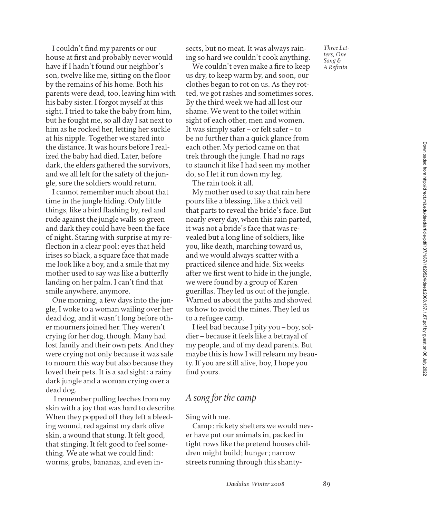I couldn't find my parents or our house at first and probably never would have if I hadn't found our neighbor's son, twelve like me, sitting on the floor by the remains of his home. Both his parents were dead, too, leaving him with his baby sister. I forgot myself at this sight. I tried to take the baby from him, but he fought me, so all day I sat next to him as he rocked her, letting her suckle at his nipple. Together we stared into the distance. It was hours before I realized the baby had died. Later, before dark, the elders gathered the survivors, and we all left for the safety of the jungle, sure the soldiers would return.

I cannot remember much about that time in the jungle hiding. Only little things, like a bird flashing by, red and rude against the jungle walls so green and dark they could have been the face of night. Staring with surprise at my reflection in a clear pool: eyes that held irises so black, a square face that made me look like a boy, and a smile that my mother used to say was like a butterfly landing on her palm. I can't find that smile anywhere, anymore.

One morning, a few days into the jungle, I woke to a woman wailing over her dead dog, and it wasn't long before other mourners joined her. They weren't crying for her dog, though. Many had lost family and their own pets. And they were crying not only because it was safe to mourn this way but also because they loved their pets. It is a sad sight: a rainy dark jungle and a woman crying over a dead dog.

I remember pulling leeches from my skin with a joy that was hard to describe. When they popped off they left a bleeding wound, red against my dark olive skin, a wound that stung. It felt good, that stinging. It felt good to feel something. We ate what we could find: worms, grubs, bananas, and even insects, but no meat. It was always raining so hard we couldn't cook anything.

We couldn't even make a fire to keep us dry, to keep warm by, and soon, our clothes began to rot on us. As they rotted, we got rashes and sometimes sores. By the third week we had all lost our shame. We went to the toilet within sight of each other, men and women. It was simply safer–or felt safer–to be no further than a quick glance from each other. My period came on that trek through the jungle. I had no rags to staunch it like I had seen my mother do, so I let it run down my leg.

The rain took it all.

My mother used to say that rain here pours like a blessing, like a thick veil that parts to reveal the bride's face. But nearly every day, when this rain parted, it was not a bride's face that was revealed but a long line of soldiers, like you, like death, marching toward us, and we would always scatter with a practiced silence and hide. Six weeks after we first went to hide in the jungle, we were found by a group of Karen guerillas. They led us out of the jungle. Warned us about the paths and showed us how to avoid the mines. They led us to a refugee camp.

I feel bad because I pity you–boy, soldier–because it feels like a betrayal of my people, and of my dead parents. But maybe this is how I will relearn my beauty. If you are still alive, boy, I hope you find yours.

## *A song for the camp*

#### Sing with me.

Camp: rickety shelters we would never have put our animals in, packed in tight rows like the pretend houses children might build; hunger; narrow streets running through this shanty-

*Three Letters, One Song & A Refrain*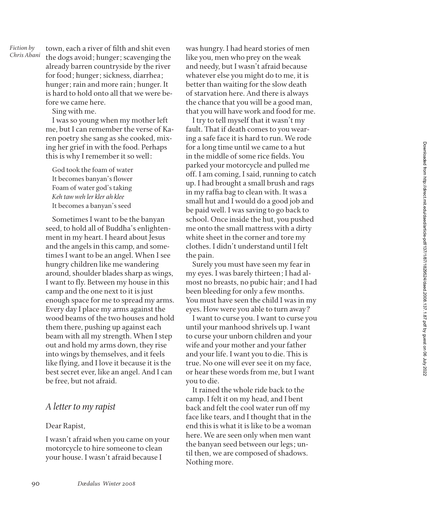*Fiction by Chris Abani* town, each a river of filth and shit even the dogs avoid; hunger; scavenging the already barren countryside by the river for food; hunger; sickness, diarrhea; hunger; rain and more rain; hunger. It is hard to hold onto all that we were before we came here.

Sing with me.

I was so young when my mother left me, but I can remember the verse of Karen poetry she sang as she cooked, mixing her grief in with the food. Perhaps this is why I remember it so well:

God took the foam of water It becomes banyan's flower Foam of water god's taking *Keh taw weh ler kler ah klee* It becomes a banyan's seed

Sometimes I want to be the banyan seed, to hold all of Buddha's enlightenment in my heart. I heard about Jesus and the angels in this camp, and sometimes I want to be an angel. When I see hungry children like me wandering around, shoulder blades sharp as wings, I want to fly. Between my house in this camp and the one next to it is just enough space for me to spread my arms. Every day I place my arms against the wood beams of the two houses and hold them there, pushing up against each beam with all my strength. When I step out and hold my arms down, they rise into wings by themselves, and it feels like flying, and I love it because it is the best secret ever, like an angel. And I can be free, but not afraid.

#### *A letter to my rapist*

#### Dear Rapist,

I wasn't afraid when you came on your motorcycle to hire someone to clean your house. I wasn't afraid because I

was hungry. I had heard stories of men like you, men who prey on the weak and needy, but I wasn't afraid because whatever else you might do to me, it is better than waiting for the slow death of starvation here. And there is always the chance that you will be a good man, that you will have work and food for me.

I try to tell myself that it wasn't my fault. That if death comes to you wearing a safe face it is hard to run. We rode for a long time until we came to a hut in the middle of some rice fields. You parked your motorcycle and pulled me off. I am coming, I said, running to catch up. I had brought a small brush and rags in my raffia bag to clean with. It was a small hut and I would do a good job and be paid well. I was saving to go back to school. Once inside the hut, you pushed me onto the small mattress with a dirty white sheet in the corner and tore my clothes. I didn't understand until I felt the pain.

Surely you must have seen my fear in my eyes. I was barely thirteen; I had almost no breasts, no pubic hair; and I had been bleeding for only a few months. You must have seen the child I was in my eyes. How were you able to turn away?

I want to curse you. I want to curse you until your manhood shrivels up. I want to curse your unborn children and your wife and your mother and your father and your life. I want you to die. This is true. No one will ever see it on my face, or hear these words from me, but I want you to die.

It rained the whole ride back to the camp. I felt it on my head, and I bent back and felt the cool water run off my face like tears, and I thought that in the end this is what it is like to be a woman here. We are seen only when men want the banyan seed between our legs; until then, we are composed of shadows. Nothing more.